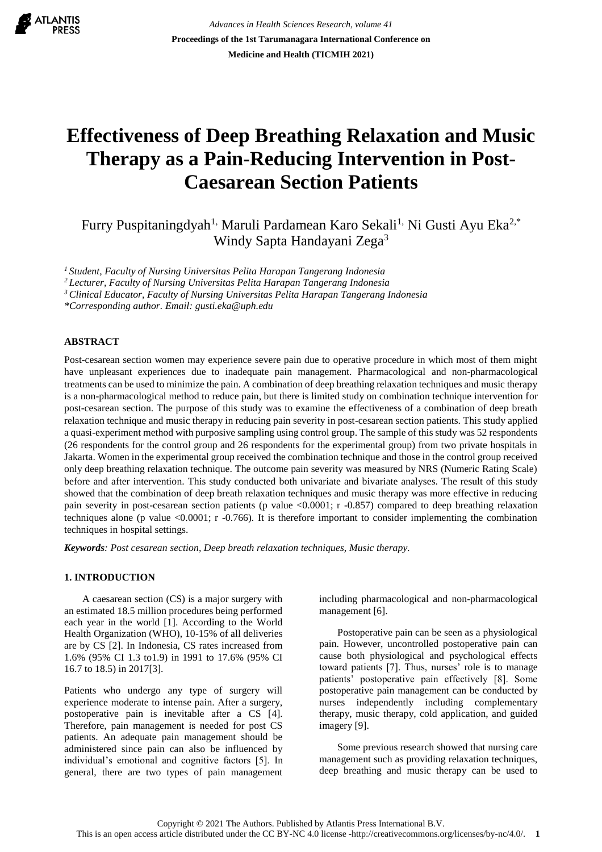

*Advances in Health Sciences Research, volume 41* **Proceedings of the 1st Tarumanagara International Conference on Medicine and Health (TICMIH 2021)**

# **Effectiveness of Deep Breathing Relaxation and Music Therapy as a Pain-Reducing Intervention in Post-Caesarean Section Patients**

Furry Puspitaningdyah<sup>1,</sup> Maruli Pardamean Karo Sekali<sup>1,</sup> Ni Gusti Ayu Eka<sup>2,\*</sup> Windy Sapta Handayani Zega<sup>3</sup>

*<sup>1</sup> Student, Faculty of Nursing Universitas Pelita Harapan Tangerang Indonesia*

*<sup>2</sup> Lecturer, Faculty of Nursing Universitas Pelita Harapan Tangerang Indonesia*

*<sup>3</sup> Clinical Educator, Faculty of Nursing Universitas Pelita Harapan Tangerang Indonesia*

*\*Corresponding author. Email: [gusti.eka@uph.edu](mailto:gusti.eka@uph.edu)*

# **ABSTRACT**

Post-cesarean section women may experience severe pain due to operative procedure in which most of them might have unpleasant experiences due to inadequate pain management. Pharmacological and non-pharmacological treatments can be used to minimize the pain. A combination of deep breathing relaxation techniques and music therapy is a non-pharmacological method to reduce pain, but there is limited study on combination technique intervention for post-cesarean section. The purpose of this study was to examine the effectiveness of a combination of deep breath relaxation technique and music therapy in reducing pain severity in post-cesarean section patients. This study applied a quasi-experiment method with purposive sampling using control group. The sample of this study was 52 respondents (26 respondents for the control group and 26 respondents for the experimental group) from two private hospitals in Jakarta. Women in the experimental group received the combination technique and those in the control group received only deep breathing relaxation technique. The outcome pain severity was measured by NRS (Numeric Rating Scale) before and after intervention. This study conducted both univariate and bivariate analyses. The result of this study showed that the combination of deep breath relaxation techniques and music therapy was more effective in reducing pain severity in post-cesarean section patients (p value <0.0001; r -0.857) compared to deep breathing relaxation techniques alone (p value <0.0001; r -0.766). It is therefore important to consider implementing the combination techniques in hospital settings.

*Keywords: Post cesarean section, Deep breath relaxation techniques, Music therapy.*

# **1. INTRODUCTION**

A caesarean section (CS) is a major surgery with an estimated 18.5 million procedures being performed each year in the world [1]. According to the World Health Organization (WHO), 10-15% of all deliveries are by CS [2]. In Indonesia, CS rates increased from 1.6% (95% CI 1.3 to1.9) in 1991 to 17.6% (95% CI 16.7 to 18.5) in 2017[3].

Patients who undergo any type of surgery will experience moderate to intense pain. After a surgery, postoperative pain is inevitable after a CS [4]. Therefore, pain management is needed for post CS patients. An adequate pain management should be administered since pain can also be influenced by individual's emotional and cognitive factors [5]. In general, there are two types of pain management including pharmacological and non-pharmacological management [6].

Postoperative pain can be seen as a physiological pain. However, uncontrolled postoperative pain can cause both physiological and psychological effects toward patients [7]. Thus, nurses' role is to manage patients' postoperative pain effectively [8]. Some postoperative pain management can be conducted by nurses independently including complementary therapy, music therapy, cold application, and guided imagery [9].

Some previous research showed that nursing care management such as providing relaxation techniques, deep breathing and music therapy can be used to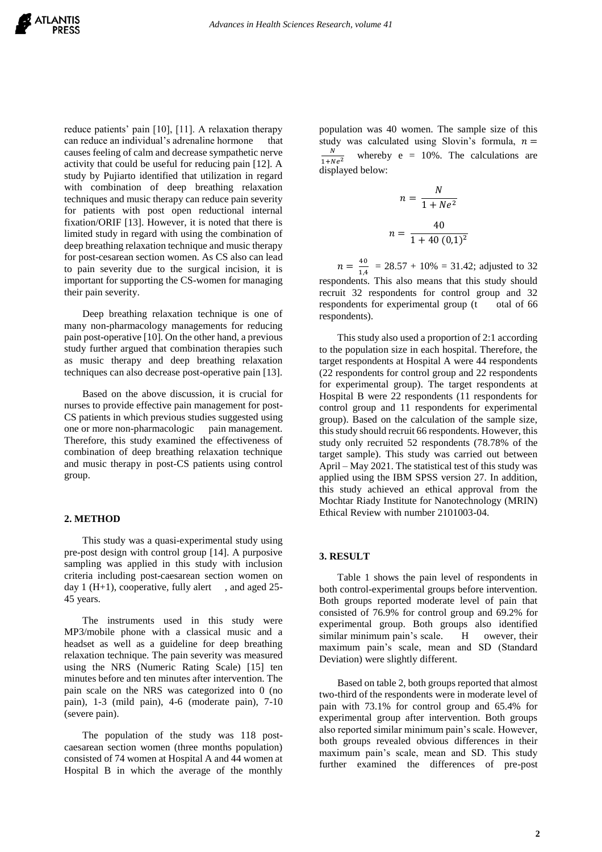reduce patients' pain [10], [11]. A relaxation therapy can reduce an individual's adrenaline hormone that causes feeling of calm and decrease sympathetic nerve activity that could be useful for reducing pain [12]. A study by Pujiarto identified that utilization in regard with combination of deep breathing relaxation techniques and music therapy can reduce pain severity for patients with post open reductional internal fixation/ORIF [13]. However, it is noted that there is limited study in regard with using the combination of deep breathing relaxation technique and music therapy for post-cesarean section women. As CS also can lead to pain severity due to the surgical incision, it is important for supporting the CS-women for managing their pain severity.

Deep breathing relaxation technique is one of many non-pharmacology managements for reducing pain post-operative [10]. On the other hand, a previous study further argued that combination therapies such as music therapy and deep breathing relaxation techniques can also decrease post-operative pain [13].

Based on the above discussion, it is crucial for nurses to provide effective pain management for post-CS patients in which previous studies suggested using one or more non-pharmacologic pain management. Therefore, this study examined the effectiveness of combination of deep breathing relaxation technique and music therapy in post-CS patients using control group.

#### **2. METHOD**

This study was a quasi-experimental study using pre-post design with control group [14]. A purposive sampling was applied in this study with inclusion criteria including post-caesarean section women on day 1 ( $H+1$ ), cooperative, fully alert, and aged 25-45 years.

The instruments used in this study were MP3/mobile phone with a classical music and a headset as well as a guideline for deep breathing relaxation technique. The pain severity was measured using the NRS (Numeric Rating Scale) [15] ten minutes before and ten minutes after intervention. The pain scale on the NRS was categorized into 0 (no pain), 1-3 (mild pain), 4-6 (moderate pain), 7-10 (severe pain).

The population of the study was 118 postcaesarean section women (three months population) consisted of 74 women at Hospital A and 44 women at Hospital B in which the average of the monthly

population was 40 women. The sample size of this study was calculated using Slovin's formula,  $n =$ N  $1 + Ne^2$ whereby  $e = 10\%$ . The calculations are displayed below:

$$
n = \frac{N}{1 + Ne^{2}}
$$

$$
n = \frac{40}{1 + 40 (0,1)^{2}}
$$

 $n = \frac{40}{14}$  $\frac{40}{1.4}$  = 28.57 + 10% = 31.42; adjusted to 32 respondents. This also means that this study should recruit 32 respondents for control group and 32 respondents for experimental group (t otal of 66 respondents).

This study also used a proportion of 2:1 according to the population size in each hospital. Therefore, the target respondents at Hospital A were 44 respondents (22 respondents for control group and 22 respondents for experimental group). The target respondents at Hospital B were 22 respondents (11 respondents for control group and 11 respondents for experimental group). Based on the calculation of the sample size, this study should recruit 66 respondents. However, this study only recruited 52 respondents (78.78% of the target sample). This study was carried out between April – May 2021. The statistical test of this study was applied using the IBM SPSS version 27. In addition, this study achieved an ethical approval from the Mochtar Riady Institute for Nanotechnology (MRIN) Ethical Review with number 2101003-04.

#### **3. RESULT**

Table 1 shows the pain level of respondents in both control-experimental groups before intervention. Both groups reported moderate level of pain that consisted of 76.9% for control group and 69.2% for experimental group. Both groups also identified similar minimum pain's scale. H owever, their maximum pain's scale, mean and SD (Standard Deviation) were slightly different.

Based on table 2, both groups reported that almost two-third of the respondents were in moderate level of pain with 73.1% for control group and 65.4% for experimental group after intervention. Both groups also reported similar minimum pain's scale. However, both groups revealed obvious differences in their maximum pain's scale, mean and SD. This study further examined the differences of pre-post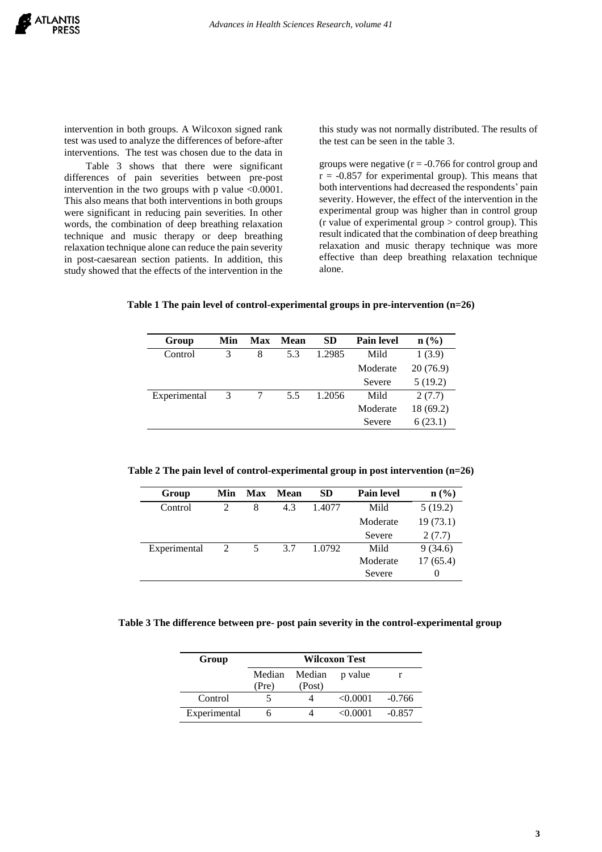intervention in both groups. A Wilcoxon signed rank test was used to analyze the differences of before-after interventions. The test was chosen due to the data in

Table 3 shows that there were significant differences of pain severities between pre-post intervention in the two groups with p value <0.0001. This also means that both interventions in both groups were significant in reducing pain severities. In other words, the combination of deep breathing relaxation technique and music therapy or deep breathing relaxation technique alone can reduce the pain severity in post-caesarean section patients. In addition, this study showed that the effects of the intervention in the

this study was not normally distributed. The results of the test can be seen in the table 3.

groups were negative  $(r = -0.766$  for control group and  $r = -0.857$  for experimental group). This means that both interventions had decreased the respondents' pain severity. However, the effect of the intervention in the experimental group was higher than in control group  $(r$  value of experimental group  $>$  control group). This result indicated that the combination of deep breathing relaxation and music therapy technique was more effective than deep breathing relaxation technique alone.

**Table 1 The pain level of control-experimental groups in pre-intervention (n=26)**

| Group        | Min | Max | Mean | SD     | <b>Pain level</b> | $n\left(\frac{0}{0}\right)$ |
|--------------|-----|-----|------|--------|-------------------|-----------------------------|
| Control      | 3   | 8   | 5.3  | 1.2985 | Mild              | 1(3.9)                      |
|              |     |     |      |        | Moderate          | 20(76.9)                    |
|              |     |     |      |        | Severe            | 5(19.2)                     |
| Experimental | 3   |     | 5.5  | 1.2056 | Mild              | 2(7.7)                      |
|              |     |     |      |        | Moderate          | 18(69.2)                    |
|              |     |     |      |        | Severe            | 6(23.1)                     |

**Table 2 The pain level of control-experimental group in post intervention (n=26)**

| Group        | Min                         | Max | Mean | <b>SD</b> | <b>Pain level</b> | $\mathbf{n}(\%)$ |
|--------------|-----------------------------|-----|------|-----------|-------------------|------------------|
| Control      | $\mathcal{D}_{\mathcal{A}}$ | 8   | 4.3  | 1.4077    | Mild              | 5(19.2)          |
|              |                             |     |      |           | Moderate          | 19(73.1)         |
|              |                             |     |      |           | Severe            | 2(7.7)           |
| Experimental | 2                           | 5   | 3.7  | 1.0792    | Mild              | 9(34.6)          |
|              |                             |     |      |           | Moderate          | 17(65.4)         |
|              |                             |     |      |           | Severe            | $\theta$         |

# **Table 3 The difference between pre- post pain severity in the control-experimental group**

| Group        | <b>Wilcoxon Test</b> |                  |          |          |  |  |
|--------------|----------------------|------------------|----------|----------|--|--|
|              | Median<br>(Pre)      | Median<br>(Post) | p value  |          |  |  |
| Control      |                      |                  | < 0.0001 | $-0.766$ |  |  |
| Experimental |                      |                  | <0.0001  | $-0.857$ |  |  |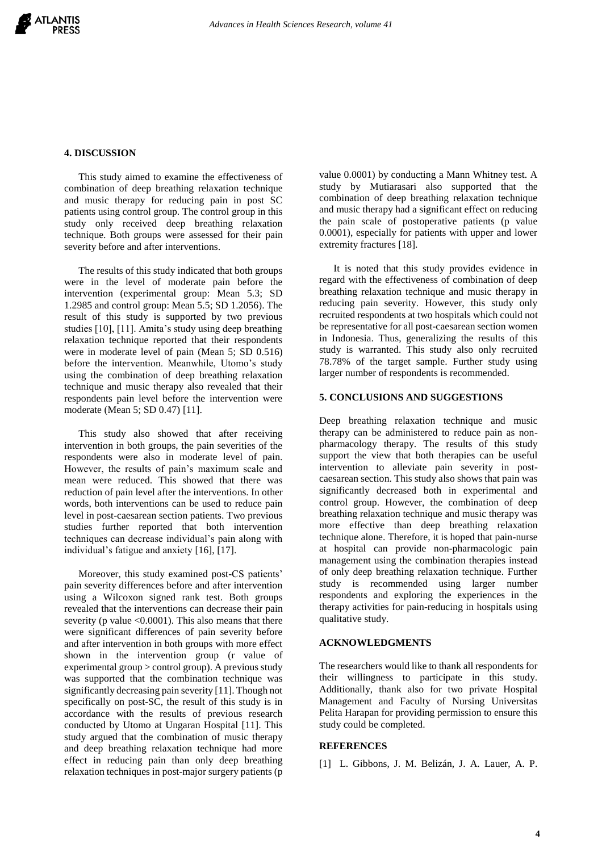## **4. DISCUSSION**

This study aimed to examine the effectiveness of combination of deep breathing relaxation technique and music therapy for reducing pain in post SC patients using control group. The control group in this study only received deep breathing relaxation technique. Both groups were assessed for their pain severity before and after interventions.

The results of this study indicated that both groups were in the level of moderate pain before the intervention (experimental group: Mean 5.3; SD 1.2985 and control group: Mean 5.5; SD 1.2056). The result of this study is supported by two previous studies [10], [11]. Amita's study using deep breathing relaxation technique reported that their respondents were in moderate level of pain (Mean 5; SD 0.516) before the intervention. Meanwhile, Utomo's study using the combination of deep breathing relaxation technique and music therapy also revealed that their respondents pain level before the intervention were moderate (Mean 5; SD 0.47) [11].

This study also showed that after receiving intervention in both groups, the pain severities of the respondents were also in moderate level of pain. However, the results of pain's maximum scale and mean were reduced. This showed that there was reduction of pain level after the interventions. In other words, both interventions can be used to reduce pain level in post-caesarean section patients. Two previous studies further reported that both intervention techniques can decrease individual's pain along with individual's fatigue and anxiety [16], [17].

Moreover, this study examined post-CS patients' pain severity differences before and after intervention using a Wilcoxon signed rank test. Both groups revealed that the interventions can decrease their pain severity (p value  $< 0.0001$ ). This also means that there were significant differences of pain severity before and after intervention in both groups with more effect shown in the intervention group (r value of experimental group > control group). A previous study was supported that the combination technique was significantly decreasing pain severity [11]. Though not specifically on post-SC, the result of this study is in accordance with the results of previous research conducted by Utomo at Ungaran Hospital [11]. This study argued that the combination of music therapy and deep breathing relaxation technique had more effect in reducing pain than only deep breathing relaxation techniques in post-major surgery patients (p

value 0.0001) by conducting a Mann Whitney test. A study by Mutiarasari also supported that the combination of deep breathing relaxation technique and music therapy had a significant effect on reducing the pain scale of postoperative patients (p value 0.0001), especially for patients with upper and lower extremity fractures [18].

It is noted that this study provides evidence in regard with the effectiveness of combination of deep breathing relaxation technique and music therapy in reducing pain severity. However, this study only recruited respondents at two hospitals which could not be representative for all post-caesarean section women in Indonesia. Thus, generalizing the results of this study is warranted. This study also only recruited 78.78% of the target sample. Further study using larger number of respondents is recommended.

#### **5. CONCLUSIONS AND SUGGESTIONS**

Deep breathing relaxation technique and music therapy can be administered to reduce pain as nonpharmacology therapy. The results of this study support the view that both therapies can be useful intervention to alleviate pain severity in postcaesarean section. This study also shows that pain was significantly decreased both in experimental and control group. However, the combination of deep breathing relaxation technique and music therapy was more effective than deep breathing relaxation technique alone. Therefore, it is hoped that pain-nurse at hospital can provide non-pharmacologic pain management using the combination therapies instead of only deep breathing relaxation technique. Further study is recommended using larger number respondents and exploring the experiences in the therapy activities for pain-reducing in hospitals using qualitative study.

#### **ACKNOWLEDGMENTS**

The researchers would like to thank all respondents for their willingness to participate in this study. Additionally, thank also for two private Hospital Management and Faculty of Nursing Universitas Pelita Harapan for providing permission to ensure this study could be completed.

# **REFERENCES**

[1] L. Gibbons, J. M. Belizán, J. A. Lauer, A. P.